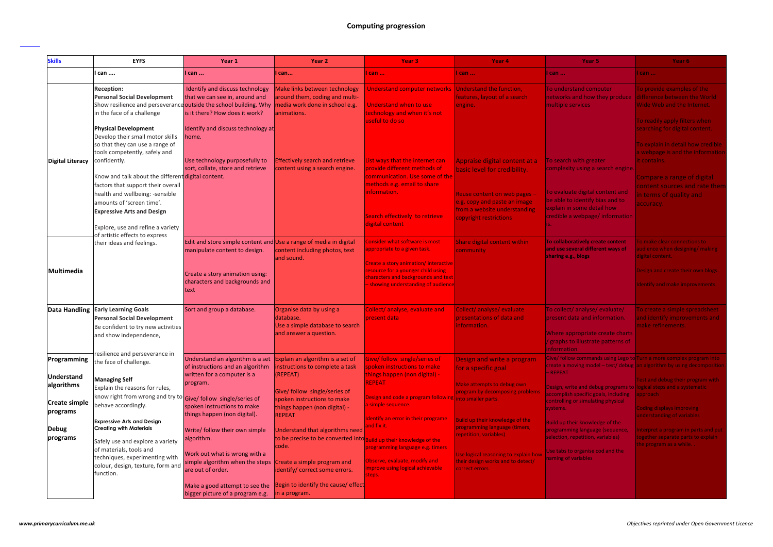## **Computing progression**

| <b>Skills</b>               | <b>EYFS</b>                                                                                                                                                                                                                                                                                                                                                 | Year 1                                                                                                                                                                          | Year 2                                                                                                                                       | Year <sub>3</sub>                                                                                                                                                                                                                 | Year <sub>4</sub>                                                                                                                                                                       | Year 5                                                                                                                                                                                            | Year 6                                                                                                                                                                                        |
|-----------------------------|-------------------------------------------------------------------------------------------------------------------------------------------------------------------------------------------------------------------------------------------------------------------------------------------------------------------------------------------------------------|---------------------------------------------------------------------------------------------------------------------------------------------------------------------------------|----------------------------------------------------------------------------------------------------------------------------------------------|-----------------------------------------------------------------------------------------------------------------------------------------------------------------------------------------------------------------------------------|-----------------------------------------------------------------------------------------------------------------------------------------------------------------------------------------|---------------------------------------------------------------------------------------------------------------------------------------------------------------------------------------------------|-----------------------------------------------------------------------------------------------------------------------------------------------------------------------------------------------|
|                             | l can                                                                                                                                                                                                                                                                                                                                                       | I can                                                                                                                                                                           | can                                                                                                                                          | I can                                                                                                                                                                                                                             | can                                                                                                                                                                                     | can                                                                                                                                                                                               | ll can                                                                                                                                                                                        |
|                             | <b>Reception:</b><br><b>Personal Social Development</b><br>Show resilience and perseverance outside the school building. Why<br>in the face of a challenge<br><b>Physical Development</b>                                                                                                                                                                   | Identify and discuss technology<br>that we can see in, around and<br>is it there? How does it work?<br>Identify and discuss technology at                                       | Make links between technology<br>around them, coding and multi-<br>media work done in school e.g.<br>lanimations.                            | Understand computer networks Understand the function,<br>Understand when to use<br>technology and when it's not<br>useful to do so                                                                                                | features, layout of a search<br>engine.                                                                                                                                                 | To understand computer<br>networks and how they produce difference between the World<br>multiple services                                                                                         | To provide examples of the<br>Wide Web and the Internet.<br>To readily apply filters when<br>searching for digital content.                                                                   |
| <b>Digital Literacy</b>     | Develop their small motor skills<br>so that they can use a range of<br>tools competently, safely and<br>confidently.<br>Know and talk about the different digital content.<br>factors that support their overall<br>health and wellbeing: -sensible<br>lamounts of 'screen time'.<br><b>Expressive Arts and Design</b><br>Explore, use and refine a variety | home.<br>Use technology purposefully to<br>sort, collate, store and retrieve                                                                                                    | <b>Effectively search and retrieve</b><br>content using a search engine                                                                      | List ways that the internet can<br>provide different methods of<br>communication. Use some of the<br>methods e.g. email to share<br>linformation.<br>Search effectively to retrieve<br>digital content                            | Appraise digital content at a<br>basic level for credibility.<br>Reuse content on web pages -<br>e.g. copy and paste an image<br>from a website understanding<br>copyright restrictions | To search with greater<br>complexity using a search engine.<br>To evaluate digital content and<br>be able to identify bias and to<br>explain in some detail how<br>credible a webpage/information | To explain in detail how credible<br>a webpage is and the informatior<br>lit contains.<br>Compare a range of digital<br>content sources and rate then<br>in terms of quality and<br>accuracy. |
| Multimedia                  | of artistic effects to express<br>their ideas and feelings.                                                                                                                                                                                                                                                                                                 | Edit and store simple content and Use a range of media in digital<br>manipulate content to design.<br>Create a story animation using:<br>characters and backgrounds and<br>text | content including photos, text<br>land sound.                                                                                                | <b>Consider what software is most</b><br>appropriate to a given task.<br>Create a story animation/interactive<br>resource for a younger child using<br>characters and backgrounds and text<br>- showing understanding of audience | Share digital content within<br>community                                                                                                                                               | To collaboratively create content<br>and use several different ways of<br>sharing e.g., blogs                                                                                                     | To make clear connections to<br>audience when designing/ making<br>digital content.<br>Design and create their own blogs.<br>Identify and make improvements.                                  |
| Data Handling               | <b>Early Learning Goals</b><br><b>Personal Social Development</b><br>Be confident to try new activities<br>and show independence,<br>resilience and perseverance in                                                                                                                                                                                         | Sort and group a database.                                                                                                                                                      | Organise data by using a<br>database.<br>Use a simple database to search<br>and answer a question.                                           | Collect/analyse, evaluate and<br>present data                                                                                                                                                                                     | Collect/analyse/evaluate<br>presentations of data and<br>information.                                                                                                                   | To collect/analyse/evaluate/<br>present data and information.<br>Where appropriate create charts<br>/ graphs to illustrate patterns of<br><b>Information</b>                                      | To create a simple spreadsheet<br>and identify improvements and<br>make refinements.                                                                                                          |
| Programming<br>Understand   | the face of challenge.                                                                                                                                                                                                                                                                                                                                      | Understand an algorithm is a set<br>of instructions and an algorithm<br>written for a computer is a                                                                             | Explain an algorithm is a set of<br>nstructions to complete a task<br>(REPEAT)                                                               | Give/ follow single/series of<br>spoken instructions to make<br>things happen (non digital) -                                                                                                                                     | Design and write a program<br>for a specific goal                                                                                                                                       | Give/ follow commands using Lego to Turn a more complex program into<br>- REPEAT                                                                                                                  | create a moving model – test/ debug  an algorithm by using decompositior                                                                                                                      |
| algorithms<br>Create simple | <b>Managing Self</b><br>Explain the reasons for rules,<br>know right from wrong and try to Give/ follow single/series of                                                                                                                                                                                                                                    | program.                                                                                                                                                                        | Give/ follow single/series of<br>spoken instructions to make                                                                                 | <b>REPEAT</b><br>Design and code a program following into smaller parts.                                                                                                                                                          | Make attempts to debug own<br>program by decomposing problems                                                                                                                           | Design, write and debug programs to logical steps and a systematic<br>accomplish specific goals, including<br>controlling or simulating physical                                                  | Test and debug their program with<br>approach                                                                                                                                                 |
| programs<br>Debug           | behave accordingly.<br><b>Expressive Arts and Design</b><br><b>Creating with Materials</b>                                                                                                                                                                                                                                                                  | spoken instructions to make<br>things happen (non digital).<br>Write/ follow their own simple                                                                                   | things happen (non digital) -<br>REPEAT<br>Understand that algorithms need                                                                   | a simple sequence.<br><b>Identify an error in their programe</b><br>and fix it.                                                                                                                                                   | Build up their knowledge of the<br>programming language (timers,                                                                                                                        | systems.<br>Build up their knowledge of the<br>programming language (sequence,                                                                                                                    | Coding displays improving<br>understanding of variables<br>Interpret a program in parts and put                                                                                               |
| programs                    | Safely use and explore a variety<br>of materials, tools and<br>techniques, experimenting with<br>colour, design, texture, form and<br>function.                                                                                                                                                                                                             | algorithm.<br>Work out what is wrong with a<br>simple algorithm when the steps<br>are out of order.                                                                             | to be precise to be converted into Build up their knowledge of the<br>code.<br>Create a simple program and<br>identify/ correct some errors. | programming language e.g. timers<br>Observe, evaluate, modify and<br>improve using logical achievable<br>steps.                                                                                                                   | repetition, variables)<br>Use logical reasoning to explain how<br>their design works and to detect/<br>correct errors                                                                   | selection, repetition, variables)<br>Use tabs to organise cod and the<br>naming of variables                                                                                                      | together separate parts to explain<br>the program as a while.                                                                                                                                 |
|                             |                                                                                                                                                                                                                                                                                                                                                             | Make a good attempt to see the<br>bigger picture of a program e.g.                                                                                                              | Begin to identify the cause/ effect<br>in a program.                                                                                         |                                                                                                                                                                                                                                   |                                                                                                                                                                                         |                                                                                                                                                                                                   |                                                                                                                                                                                               |